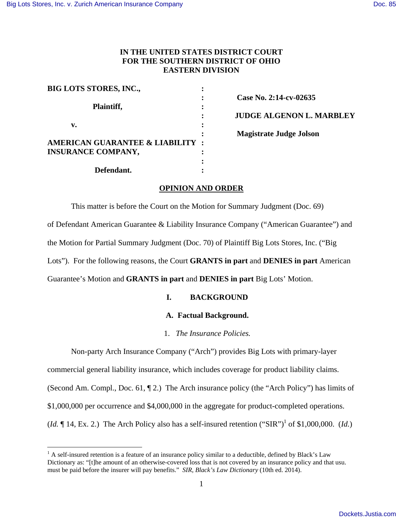$\overline{a}$ 

# **IN THE UNITED STATES DISTRICT COURT FOR THE SOUTHERN DISTRICT OF OHIO EASTERN DIVISION**

| <b>BIG LOTS STORES, INC.,</b>              |                                 |
|--------------------------------------------|---------------------------------|
|                                            | Case No. 2:14-cv-02635          |
| Plaintiff,                                 | $\bullet$                       |
|                                            | <b>JUDGE ALGENON L. MARBLEY</b> |
| v.                                         |                                 |
|                                            | <b>Magistrate Judge Jolson</b>  |
| <b>AMERICAN GUARANTEE &amp; LIABILITY:</b> |                                 |
| <b>INSURANCE COMPANY,</b>                  |                                 |
|                                            |                                 |
| Defendant.                                 |                                 |

## **OPINION AND ORDER**

This matter is before the Court on the Motion for Summary Judgment (Doc. 69) of Defendant American Guarantee & Liability Insurance Company ("American Guarantee") and the Motion for Partial Summary Judgment (Doc. 70) of Plaintiff Big Lots Stores, Inc. ("Big Lots"). For the following reasons, the Court **GRANTS in part** and **DENIES in part** American Guarantee's Motion and **GRANTS in part** and **DENIES in part** Big Lots' Motion.

# **I. BACKGROUND**

## **A. Factual Background.**

1. *The Insurance Policies.* 

Non-party Arch Insurance Company ("Arch") provides Big Lots with primary-layer

commercial general liability insurance, which includes coverage for product liability claims. (Second Am. Compl., Doc. 61, ¶ 2.) The Arch insurance policy (the "Arch Policy") has limits of \$1,000,000 per occurrence and \$4,000,000 in the aggregate for product-completed operations. (*Id.*  $\P$  14, Ex. 2.) The Arch Policy also has a self-insured retention ("SIR")<sup>1</sup> of \$1,000,000. (*Id.*)

 $<sup>1</sup>$  A self-insured retention is a feature of an insurance policy similar to a deductible, defined by Black's Law</sup> Dictionary as: "[t]he amount of an otherwise-covered loss that is not covered by an insurance policy and that usu. must be paid before the insurer will pay benefits." *SIR*, *Black's Law Dictionary* (10th ed. 2014).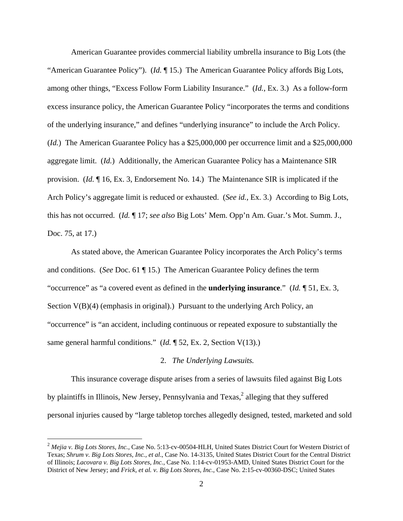American Guarantee provides commercial liability umbrella insurance to Big Lots (the "American Guarantee Policy"). (*Id.* ¶ 15.) The American Guarantee Policy affords Big Lots, among other things, "Excess Follow Form Liability Insurance." (*Id.*, Ex. 3.) As a follow-form excess insurance policy, the American Guarantee Policy "incorporates the terms and conditions of the underlying insurance," and defines "underlying insurance" to include the Arch Policy. (*Id.*) The American Guarantee Policy has a \$25,000,000 per occurrence limit and a \$25,000,000 aggregate limit. (*Id.*) Additionally, the American Guarantee Policy has a Maintenance SIR provision. (*Id.* ¶ 16, Ex. 3, Endorsement No. 14.) The Maintenance SIR is implicated if the Arch Policy's aggregate limit is reduced or exhausted. (*See id.*, Ex. 3.) According to Big Lots, this has not occurred. (*Id.* ¶ 17; *see also* Big Lots' Mem. Opp'n Am. Guar.'s Mot. Summ. J., Doc. 75, at 17.)

As stated above, the American Guarantee Policy incorporates the Arch Policy's terms and conditions. (*See* Doc. 61 ¶ 15.) The American Guarantee Policy defines the term "occurrence" as "a covered event as defined in the **underlying insurance**." (*Id.* ¶ 51, Ex. 3, Section  $V(B)(4)$  (emphasis in original).) Pursuant to the underlying Arch Policy, an "occurrence" is "an accident, including continuous or repeated exposure to substantially the same general harmful conditions." (*Id.* 152, Ex. 2, Section V(13).)

### 2. *The Underlying Lawsuits.*

This insurance coverage dispute arises from a series of lawsuits filed against Big Lots by plaintiffs in Illinois, New Jersey, Pennsylvania and Texas, $^2$  alleging that they suffered personal injuries caused by "large tabletop torches allegedly designed, tested, marketed and sold

 $\overline{a}$ 

<sup>&</sup>lt;sup>2</sup> Mejia v. Big Lots Stores, Inc., Case No. 5:13-cv-00504-HLH, United States District Court for Western District of Texas; *Shrum v. Big Lots Stores, Inc., et al*., Case No. 14-3135, United States District Court for the Central District of Illinois; *Lacovara v. Big Lots Stores, Inc.*, Case No. 1:14-cv-01953-AMD, United States District Court for the District of New Jersey; and *Frick, et al. v. Big Lots Stores, Inc.*, Case No. 2:15-cv-00360-DSC; United States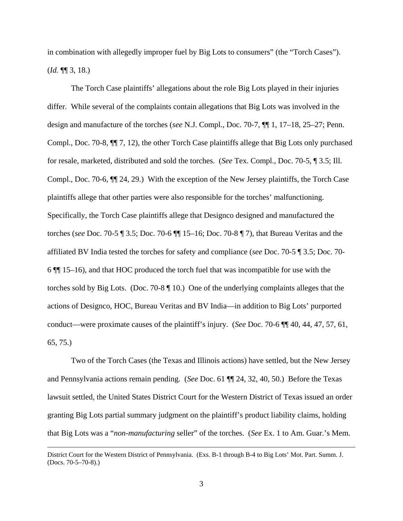in combination with allegedly improper fuel by Big Lots to consumers" (the "Torch Cases"). (*Id.* ¶¶ 3, 18.)

The Torch Case plaintiffs' allegations about the role Big Lots played in their injuries differ. While several of the complaints contain allegations that Big Lots was involved in the design and manufacture of the torches (*see* N.J. Compl., Doc. 70-7, ¶¶ 1, 17–18, 25–27; Penn. Compl., Doc. 70-8, ¶¶ 7, 12), the other Torch Case plaintiffs allege that Big Lots only purchased for resale, marketed, distributed and sold the torches. (*See* Tex. Compl., Doc. 70-5, ¶ 3.5; Ill. Compl., Doc. 70-6, ¶¶ 24, 29.) With the exception of the New Jersey plaintiffs, the Torch Case plaintiffs allege that other parties were also responsible for the torches' malfunctioning. Specifically, the Torch Case plaintiffs allege that Designco designed and manufactured the torches (*see* Doc. 70-5 ¶ 3.5; Doc. 70-6 ¶¶ 15–16; Doc. 70-8 ¶ 7), that Bureau Veritas and the affiliated BV India tested the torches for safety and compliance (*see* Doc. 70-5 ¶ 3.5; Doc. 70- 6 ¶¶ 15–16), and that HOC produced the torch fuel that was incompatible for use with the torches sold by Big Lots. (Doc. 70-8 ¶ 10.) One of the underlying complaints alleges that the actions of Designco, HOC, Bureau Veritas and BV India—in addition to Big Lots' purported conduct—were proximate causes of the plaintiff's injury. (*See* Doc. 70-6 ¶¶ 40, 44, 47, 57, 61, 65, 75.)

Two of the Torch Cases (the Texas and Illinois actions) have settled, but the New Jersey and Pennsylvania actions remain pending. (*See* Doc. 61 ¶¶ 24, 32, 40, 50.) Before the Texas lawsuit settled, the United States District Court for the Western District of Texas issued an order granting Big Lots partial summary judgment on the plaintiff's product liability claims, holding that Big Lots was a "*non-manufacturing* seller" of the torches. (*See* Ex. 1 to Am. Guar.'s Mem.

 $\overline{a}$ 

District Court for the Western District of Pennsylvania. (Exs. B-1 through B-4 to Big Lots' Mot. Part. Summ. J. (Docs. 70-5–70-8).)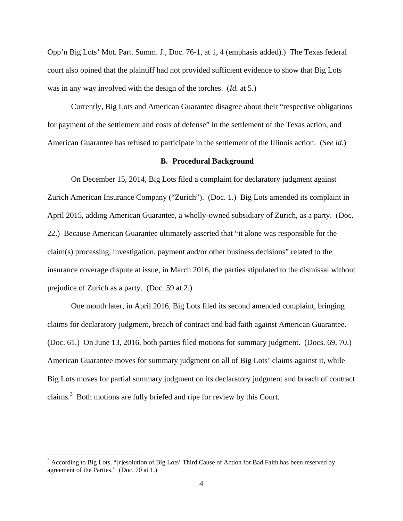Opp'n Big Lots' Mot. Part. Summ. J., Doc. 76-1, at 1, 4 (emphasis added).) The Texas federal court also opined that the plaintiff had not provided sufficient evidence to show that Big Lots was in any way involved with the design of the torches. (*Id.* at 5.)

Currently, Big Lots and American Guarantee disagree about their "respective obligations for payment of the settlement and costs of defense" in the settlement of the Texas action, and American Guarantee has refused to participate in the settlement of the Illinois action. (*See id.*)

#### **B. Procedural Background**

On December 15, 2014, Big Lots filed a complaint for declaratory judgment against Zurich American Insurance Company ("Zurich"). (Doc. 1.) Big Lots amended its complaint in April 2015, adding American Guarantee, a wholly-owned subsidiary of Zurich, as a party. (Doc. 22.) Because American Guarantee ultimately asserted that "it alone was responsible for the claim(s) processing, investigation, payment and/or other business decisions" related to the insurance coverage dispute at issue, in March 2016, the parties stipulated to the dismissal without prejudice of Zurich as a party. (Doc. 59 at 2.)

One month later, in April 2016, Big Lots filed its second amended complaint, bringing claims for declaratory judgment, breach of contract and bad faith against American Guarantee. (Doc. 61.) On June 13, 2016, both parties filed motions for summary judgment. (Docs. 69, 70.) American Guarantee moves for summary judgment on all of Big Lots' claims against it, while Big Lots moves for partial summary judgment on its declaratory judgment and breach of contract claims.<sup>3</sup> Both motions are fully briefed and ripe for review by this Court.

<u>.</u>

<sup>&</sup>lt;sup>3</sup> According to Big Lots, "[r]esolution of Big Lots' Third Cause of Action for Bad Faith has been reserved by agreement of the Parties." (Doc. 70 at 1.)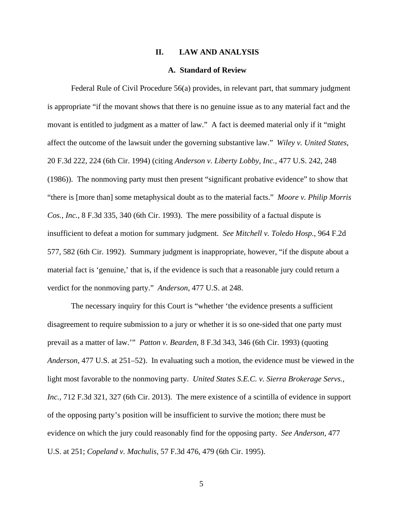#### **II. LAW AND ANALYSIS**

### **A. Standard of Review**

Federal Rule of Civil Procedure 56(a) provides, in relevant part, that summary judgment is appropriate "if the movant shows that there is no genuine issue as to any material fact and the movant is entitled to judgment as a matter of law." A fact is deemed material only if it "might affect the outcome of the lawsuit under the governing substantive law." *Wiley v. United States*, 20 F.3d 222, 224 (6th Cir. 1994) (citing *Anderson v. Liberty Lobby, Inc.*, 477 U.S. 242, 248 (1986)). The nonmoving party must then present "significant probative evidence" to show that "there is [more than] some metaphysical doubt as to the material facts." *Moore v. Philip Morris Cos., Inc.*, 8 F.3d 335, 340 (6th Cir. 1993). The mere possibility of a factual dispute is insufficient to defeat a motion for summary judgment. *See Mitchell v. Toledo Hosp.*, 964 F.2d 577, 582 (6th Cir. 1992). Summary judgment is inappropriate, however, "if the dispute about a material fact is 'genuine,' that is, if the evidence is such that a reasonable jury could return a verdict for the nonmoving party." *Anderson*, 477 U.S. at 248.

The necessary inquiry for this Court is "whether 'the evidence presents a sufficient disagreement to require submission to a jury or whether it is so one-sided that one party must prevail as a matter of law.'" *Patton v. Bearden*, 8 F.3d 343, 346 (6th Cir. 1993) (quoting *Anderson*, 477 U.S. at 251–52). In evaluating such a motion, the evidence must be viewed in the light most favorable to the nonmoving party. *United States S.E.C. v. Sierra Brokerage Servs., Inc.*, 712 F.3d 321, 327 (6th Cir. 2013). The mere existence of a scintilla of evidence in support of the opposing party's position will be insufficient to survive the motion; there must be evidence on which the jury could reasonably find for the opposing party. *See Anderson*, 477 U.S. at 251; *Copeland v. Machulis*, 57 F.3d 476, 479 (6th Cir. 1995).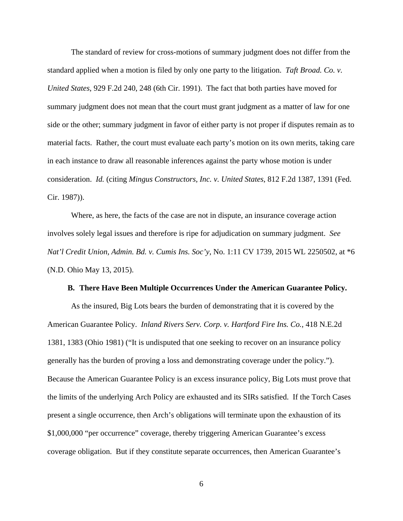The standard of review for cross-motions of summary judgment does not differ from the standard applied when a motion is filed by only one party to the litigation. *Taft Broad. Co. v. United States*, 929 F.2d 240, 248 (6th Cir. 1991). The fact that both parties have moved for summary judgment does not mean that the court must grant judgment as a matter of law for one side or the other; summary judgment in favor of either party is not proper if disputes remain as to material facts. Rather, the court must evaluate each party's motion on its own merits, taking care in each instance to draw all reasonable inferences against the party whose motion is under consideration. *Id.* (citing *Mingus Constructors, Inc. v. United States*, 812 F.2d 1387, 1391 (Fed. Cir. 1987)).

Where, as here, the facts of the case are not in dispute, an insurance coverage action involves solely legal issues and therefore is ripe for adjudication on summary judgment. *See Nat'l Credit Union, Admin. Bd. v. Cumis Ins. Soc'y*, No. 1:11 CV 1739, 2015 WL 2250502, at \*6 (N.D. Ohio May 13, 2015).

#### **B. There Have Been Multiple Occurrences Under the American Guarantee Policy.**

As the insured, Big Lots bears the burden of demonstrating that it is covered by the American Guarantee Policy. *Inland Rivers Serv. Corp. v. Hartford Fire Ins. Co.*, 418 N.E.2d 1381, 1383 (Ohio 1981) ("It is undisputed that one seeking to recover on an insurance policy generally has the burden of proving a loss and demonstrating coverage under the policy."). Because the American Guarantee Policy is an excess insurance policy, Big Lots must prove that the limits of the underlying Arch Policy are exhausted and its SIRs satisfied. If the Torch Cases present a single occurrence, then Arch's obligations will terminate upon the exhaustion of its \$1,000,000 "per occurrence" coverage, thereby triggering American Guarantee's excess coverage obligation. But if they constitute separate occurrences, then American Guarantee's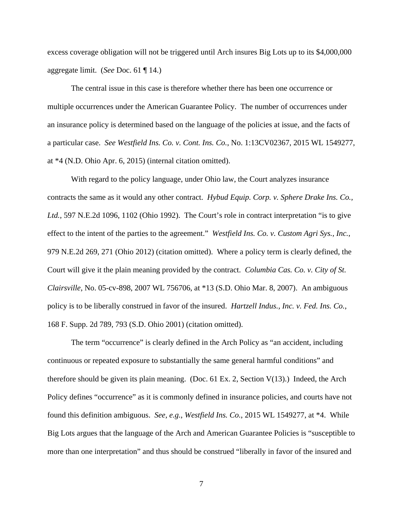excess coverage obligation will not be triggered until Arch insures Big Lots up to its \$4,000,000 aggregate limit. (*See* Doc. 61 ¶ 14.)

The central issue in this case is therefore whether there has been one occurrence or multiple occurrences under the American Guarantee Policy. The number of occurrences under an insurance policy is determined based on the language of the policies at issue, and the facts of a particular case. *See Westfield Ins. Co. v. Cont. Ins. Co.*, No. 1:13CV02367, 2015 WL 1549277, at \*4 (N.D. Ohio Apr. 6, 2015) (internal citation omitted).

 With regard to the policy language, under Ohio law, the Court analyzes insurance contracts the same as it would any other contract. *Hybud Equip. Corp. v. Sphere Drake Ins. Co., Ltd.*, 597 N.E.2d 1096, 1102 (Ohio 1992). The Court's role in contract interpretation "is to give effect to the intent of the parties to the agreement." *Westfield Ins. Co. v. Custom Agri Sys., Inc.*, 979 N.E.2d 269, 271 (Ohio 2012) (citation omitted). Where a policy term is clearly defined, the Court will give it the plain meaning provided by the contract. *Columbia Cas. Co. v. City of St. Clairsville*, No. 05-cv-898, 2007 WL 756706, at \*13 (S.D. Ohio Mar. 8, 2007). An ambiguous policy is to be liberally construed in favor of the insured. *Hartzell Indus., Inc. v. Fed. Ins. Co.*, 168 F. Supp. 2d 789, 793 (S.D. Ohio 2001) (citation omitted).

The term "occurrence" is clearly defined in the Arch Policy as "an accident, including continuous or repeated exposure to substantially the same general harmful conditions" and therefore should be given its plain meaning. (Doc. 61 Ex. 2, Section V(13).) Indeed, the Arch Policy defines "occurrence" as it is commonly defined in insurance policies, and courts have not found this definition ambiguous. *See, e.g.*, *Westfield Ins. Co.*, 2015 WL 1549277, at \*4. While Big Lots argues that the language of the Arch and American Guarantee Policies is "susceptible to more than one interpretation" and thus should be construed "liberally in favor of the insured and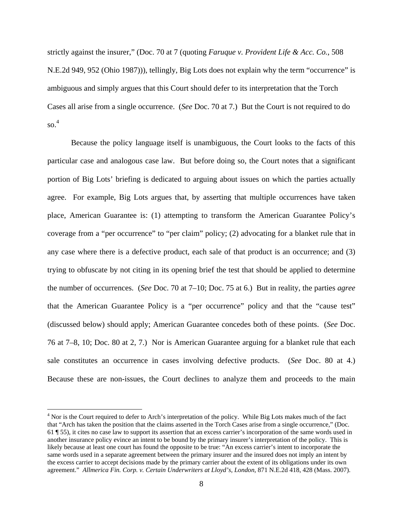strictly against the insurer," (Doc. 70 at 7 (quoting *Faruque v. Provident Life & Acc. Co.*, 508 N.E.2d 949, 952 (Ohio 1987))), tellingly, Big Lots does not explain why the term "occurrence" is ambiguous and simply argues that this Court should defer to its interpretation that the Torch Cases all arise from a single occurrence. (*See* Doc. 70 at 7.) But the Court is not required to do  $\mathrm{so.}^4$ 

 Because the policy language itself is unambiguous, the Court looks to the facts of this particular case and analogous case law. But before doing so, the Court notes that a significant portion of Big Lots' briefing is dedicated to arguing about issues on which the parties actually agree. For example, Big Lots argues that, by asserting that multiple occurrences have taken place, American Guarantee is: (1) attempting to transform the American Guarantee Policy's coverage from a "per occurrence" to "per claim" policy; (2) advocating for a blanket rule that in any case where there is a defective product, each sale of that product is an occurrence; and (3) trying to obfuscate by not citing in its opening brief the test that should be applied to determine the number of occurrences. (*See* Doc. 70 at 7–10; Doc. 75 at 6.) But in reality, the parties *agree*  that the American Guarantee Policy is a "per occurrence" policy and that the "cause test" (discussed below) should apply; American Guarantee concedes both of these points. (*See* Doc. 76 at 7–8, 10; Doc. 80 at 2, 7.) Nor is American Guarantee arguing for a blanket rule that each sale constitutes an occurrence in cases involving defective products. (*See* Doc. 80 at 4.) Because these are non-issues, the Court declines to analyze them and proceeds to the main

 $\overline{a}$ 

<sup>&</sup>lt;sup>4</sup> Nor is the Court required to defer to Arch's interpretation of the policy. While Big Lots makes much of the fact that "Arch has taken the position that the claims asserted in the Torch Cases arise from a single occurrence," (Doc. 61 ¶ 55), it cites no case law to support its assertion that an excess carrier's incorporation of the same words used in another insurance policy evince an intent to be bound by the primary insurer's interpretation of the policy. This is likely because at least one court has found the opposite to be true: "An excess carrier's intent to incorporate the same words used in a separate agreement between the primary insurer and the insured does not imply an intent by the excess carrier to accept decisions made by the primary carrier about the extent of its obligations under its own agreement." *Allmerica Fin. Corp. v. Certain Underwriters at Lloyd's, London*, 871 N.E.2d 418, 428 (Mass. 2007).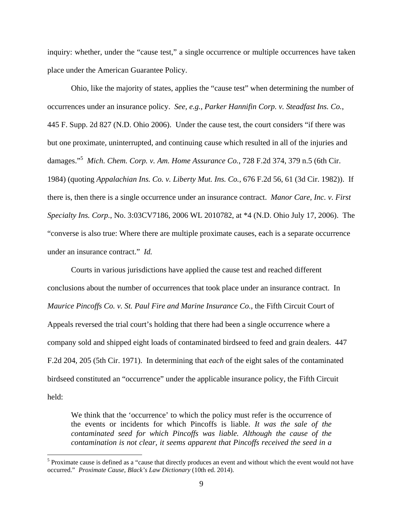inquiry: whether, under the "cause test," a single occurrence or multiple occurrences have taken place under the American Guarantee Policy.

 Ohio, like the majority of states, applies the "cause test" when determining the number of occurrences under an insurance policy. *See, e.g.*, *Parker Hannifin Corp. v. Steadfast Ins. Co.*, 445 F. Supp. 2d 827 (N.D. Ohio 2006). Under the cause test, the court considers "if there was but one proximate, uninterrupted, and continuing cause which resulted in all of the injuries and damages."<sup>5</sup> *Mich. Chem. Corp. v. Am. Home Assurance Co.*, 728 F.2d 374, 379 n.5 (6th Cir. 1984) (quoting *Appalachian Ins. Co. v. Liberty Mut. Ins. Co.*, 676 F.2d 56, 61 (3d Cir. 1982)). If there is, then there is a single occurrence under an insurance contract. *Manor Care, Inc. v. First Specialty Ins. Corp.*, No. 3:03CV7186, 2006 WL 2010782, at \*4 (N.D. Ohio July 17, 2006). The "converse is also true: Where there are multiple proximate causes, each is a separate occurrence under an insurance contract." *Id.* 

Courts in various jurisdictions have applied the cause test and reached different conclusions about the number of occurrences that took place under an insurance contract. In *Maurice Pincoffs Co. v. St. Paul Fire and Marine Insurance Co.*, the Fifth Circuit Court of Appeals reversed the trial court's holding that there had been a single occurrence where a company sold and shipped eight loads of contaminated birdseed to feed and grain dealers. 447 F.2d 204, 205 (5th Cir. 1971). In determining that *each* of the eight sales of the contaminated birdseed constituted an "occurrence" under the applicable insurance policy, the Fifth Circuit held:

We think that the 'occurrence' to which the policy must refer is the occurrence of the events or incidents for which Pincoffs is liable. *It was the sale of the contaminated seed for which Pincoffs was liable. Although the cause of the contamination is not clear, it seems apparent that Pincoffs received the seed in a* 

<sup>&</sup>lt;sup>5</sup> Proximate cause is defined as a "cause that directly produces an event and without which the event would not have occurred." *Proximate Cause*, *Black's Law Dictionary* (10th ed. 2014).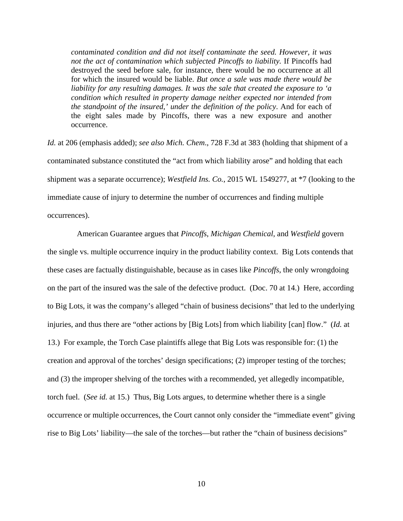*contaminated condition and did not itself contaminate the seed. However, it was not the act of contamination which subjected Pincoffs to liability.* If Pincoffs had destroyed the seed before sale, for instance, there would be no occurrence at all for which the insured would be liable. *But once a sale was made there would be liability for any resulting damages. It was the sale that created the exposure to 'a condition which resulted in property damage neither expected nor intended from the standpoint of the insured,' under the definition of the policy*. And for each of the eight sales made by Pincoffs, there was a new exposure and another occurrence.

*Id.* at 206 (emphasis added); *see also Mich. Chem*., 728 F.3d at 383 (holding that shipment of a contaminated substance constituted the "act from which liability arose" and holding that each shipment was a separate occurrence); *Westfield Ins. Co.*, 2015 WL 1549277, at \*7 (looking to the immediate cause of injury to determine the number of occurrences and finding multiple occurrences).

 American Guarantee argues that *Pincoffs*, *Michigan Chemical*, and *Westfield* govern the single vs. multiple occurrence inquiry in the product liability context. Big Lots contends that these cases are factually distinguishable, because as in cases like *Pincoffs*, the only wrongdoing on the part of the insured was the sale of the defective product. (Doc. 70 at 14.) Here, according to Big Lots, it was the company's alleged "chain of business decisions" that led to the underlying injuries, and thus there are "other actions by [Big Lots] from which liability [can] flow." (*Id.* at 13.) For example, the Torch Case plaintiffs allege that Big Lots was responsible for: (1) the creation and approval of the torches' design specifications; (2) improper testing of the torches; and (3) the improper shelving of the torches with a recommended, yet allegedly incompatible, torch fuel. (*See id.* at 15.) Thus, Big Lots argues, to determine whether there is a single occurrence or multiple occurrences, the Court cannot only consider the "immediate event" giving rise to Big Lots' liability—the sale of the torches—but rather the "chain of business decisions"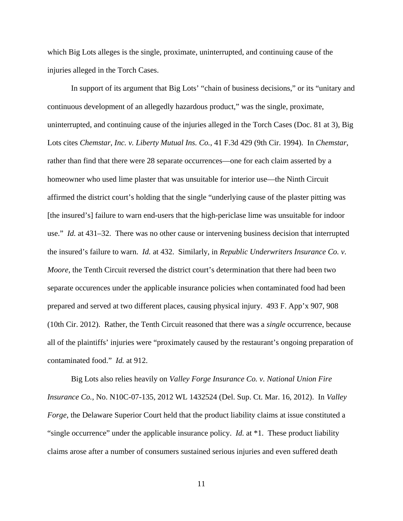which Big Lots alleges is the single, proximate, uninterrupted, and continuing cause of the injuries alleged in the Torch Cases.

In support of its argument that Big Lots' "chain of business decisions," or its "unitary and continuous development of an allegedly hazardous product," was the single, proximate, uninterrupted, and continuing cause of the injuries alleged in the Torch Cases (Doc. 81 at 3), Big Lots cites *Chemstar, Inc. v. Liberty Mutual Ins. Co.*, 41 F.3d 429 (9th Cir. 1994). In *Chemstar*, rather than find that there were 28 separate occurrences—one for each claim asserted by a homeowner who used lime plaster that was unsuitable for interior use—the Ninth Circuit affirmed the district court's holding that the single "underlying cause of the plaster pitting was [the insured's] failure to warn end-users that the high-periclase lime was unsuitable for indoor use." *Id.* at 431–32. There was no other cause or intervening business decision that interrupted the insured's failure to warn. *Id.* at 432. Similarly, in *Republic Underwriters Insurance Co. v. Moore*, the Tenth Circuit reversed the district court's determination that there had been two separate occurences under the applicable insurance policies when contaminated food had been prepared and served at two different places, causing physical injury. 493 F. App'x 907, 908 (10th Cir. 2012). Rather, the Tenth Circuit reasoned that there was a *single* occurrence, because all of the plaintiffs' injuries were "proximately caused by the restaurant's ongoing preparation of contaminated food." *Id.* at 912.

Big Lots also relies heavily on *Valley Forge Insurance Co. v. National Union Fire Insurance Co.*, No. N10C-07-135, 2012 WL 1432524 (Del. Sup. Ct. Mar. 16, 2012). In *Valley Forge*, the Delaware Superior Court held that the product liability claims at issue constituted a "single occurrence" under the applicable insurance policy. *Id.* at \*1. These product liability claims arose after a number of consumers sustained serious injuries and even suffered death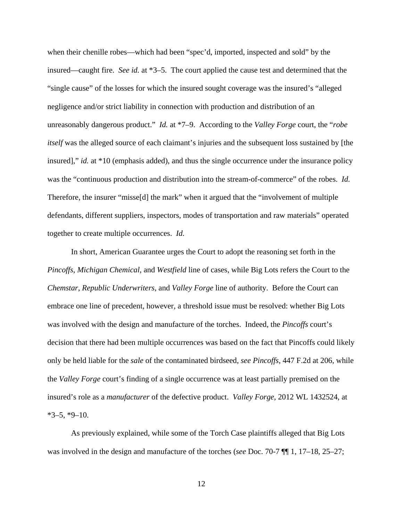when their chenille robes—which had been "spec'd, imported, inspected and sold" by the insured—caught fire. *See id.* at \*3–5. The court applied the cause test and determined that the "single cause" of the losses for which the insured sought coverage was the insured's "alleged negligence and/or strict liability in connection with production and distribution of an unreasonably dangerous product." *Id.* at \*7–9. According to the *Valley Forge* court, the "*robe itself* was the alleged source of each claimant's injuries and the subsequent loss sustained by [the insured]," *id.* at \*10 (emphasis added), and thus the single occurrence under the insurance policy was the "continuous production and distribution into the stream-of-commerce" of the robes. *Id.*  Therefore, the insurer "misse[d] the mark" when it argued that the "involvement of multiple defendants, different suppliers, inspectors, modes of transportation and raw materials" operated together to create multiple occurrences. *Id.* 

In short, American Guarantee urges the Court to adopt the reasoning set forth in the *Pincoffs*, *Michigan Chemical*, and *Westfield* line of cases, while Big Lots refers the Court to the *Chemstar*, *Republic Underwriters*, and *Valley Forge* line of authority. Before the Court can embrace one line of precedent, however, a threshold issue must be resolved: whether Big Lots was involved with the design and manufacture of the torches. Indeed, the *Pincoffs* court's decision that there had been multiple occurrences was based on the fact that Pincoffs could likely only be held liable for the *sale* of the contaminated birdseed, *see Pincoffs*, 447 F.2d at 206, while the *Valley Forge* court's finding of a single occurrence was at least partially premised on the insured's role as a *manufacturer* of the defective product. *Valley Forge*, 2012 WL 1432524, at  $*3-5, *9-10.$ 

As previously explained, while some of the Torch Case plaintiffs alleged that Big Lots was involved in the design and manufacture of the torches (*see* Doc. 70-7 ¶¶ 1, 17–18, 25–27;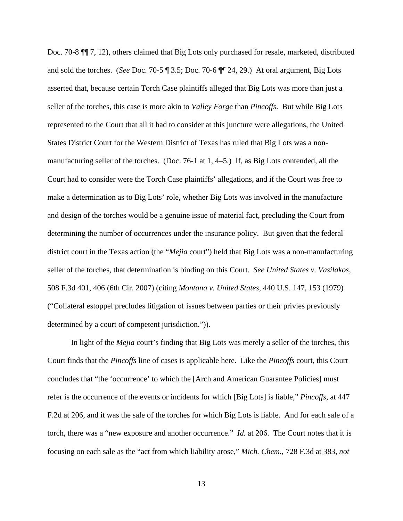Doc. 70-8 ¶¶ 7, 12), others claimed that Big Lots only purchased for resale, marketed, distributed and sold the torches. (*See* Doc. 70-5 ¶ 3.5; Doc. 70-6 ¶¶ 24, 29.) At oral argument, Big Lots asserted that, because certain Torch Case plaintiffs alleged that Big Lots was more than just a seller of the torches, this case is more akin to *Valley Forge* than *Pincoffs*. But while Big Lots represented to the Court that all it had to consider at this juncture were allegations, the United States District Court for the Western District of Texas has ruled that Big Lots was a nonmanufacturing seller of the torches. (Doc. 76-1 at 1, 4–5.) If, as Big Lots contended, all the Court had to consider were the Torch Case plaintiffs' allegations, and if the Court was free to make a determination as to Big Lots' role, whether Big Lots was involved in the manufacture and design of the torches would be a genuine issue of material fact, precluding the Court from determining the number of occurrences under the insurance policy. But given that the federal district court in the Texas action (the "*Mejia* court") held that Big Lots was a non-manufacturing seller of the torches, that determination is binding on this Court. *See United States v. Vasilakos*, 508 F.3d 401, 406 (6th Cir. 2007) (citing *Montana v. United States*, 440 U.S. 147, 153 (1979) ("Collateral estoppel precludes litigation of issues between parties or their privies previously determined by a court of competent jurisdiction.")).

In light of the *Mejia* court's finding that Big Lots was merely a seller of the torches, this Court finds that the *Pincoffs* line of cases is applicable here. Like the *Pincoffs* court, this Court concludes that "the 'occurrence' to which the [Arch and American Guarantee Policies] must refer is the occurrence of the events or incidents for which [Big Lots] is liable," *Pincoffs*, at 447 F.2d at 206, and it was the sale of the torches for which Big Lots is liable. And for each sale of a torch, there was a "new exposure and another occurrence." *Id.* at 206. The Court notes that it is focusing on each sale as the "act from which liability arose," *Mich. Chem.*, 728 F.3d at 383, *not*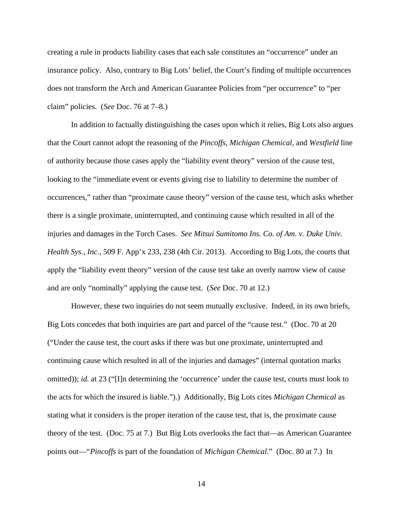creating a rule in products liability cases that each sale constitutes an "occurrence" under an insurance policy. Also, contrary to Big Lots' belief, the Court's finding of multiple occurrences does not transform the Arch and American Guarantee Policies from "per occurrence" to "per claim" policies. (*See* Doc. 76 at 7–8.)

 In addition to factually distinguishing the cases upon which it relies, Big Lots also argues that the Court cannot adopt the reasoning of the *Pincoffs*, *Michigan Chemical*, and *Westfield* line of authority because those cases apply the "liability event theory" version of the cause test, looking to the "immediate event or events giving rise to liability to determine the number of occurrences," rather than "proximate cause theory" version of the cause test, which asks whether there is a single proximate, uninterrupted, and continuing cause which resulted in all of the injuries and damages in the Torch Cases. *See Mitsui Sumitomo Ins. Co. of Am. v. Duke Univ. Health Sys., Inc.*, 509 F. App'x 233, 238 (4th Cir. 2013). According to Big Lots, the courts that apply the "liability event theory" version of the cause test take an overly narrow view of cause and are only "nominally" applying the cause test. (*See* Doc. 70 at 12.)

 However, these two inquiries do not seem mutually exclusive. Indeed, in its own briefs, Big Lots concedes that both inquiries are part and parcel of the "cause test." (Doc. 70 at 20 ("Under the cause test, the court asks if there was but one proximate, uninterrupted and continuing cause which resulted in all of the injuries and damages" (internal quotation marks omitted)); *id.* at 23 ("[I]n determining the 'occurrence' under the cause test, courts must look to the acts for which the insured is liable.").) Additionally, Big Lots cites *Michigan Chemical* as stating what it considers is the proper iteration of the cause test, that is, the proximate cause theory of the test. (Doc. 75 at 7.) But Big Lots overlooks the fact that—as American Guarantee points out—"*Pincoffs* is part of the foundation of *Michigan Chemical*." (Doc. 80 at 7.) In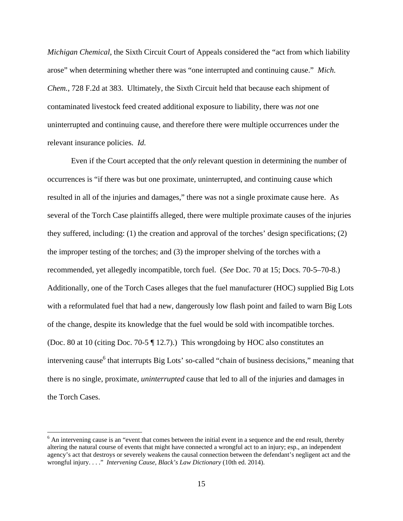*Michigan Chemical*, the Sixth Circuit Court of Appeals considered the "act from which liability arose" when determining whether there was "one interrupted and continuing cause." *Mich. Chem.*, 728 F.2d at 383. Ultimately, the Sixth Circuit held that because each shipment of contaminated livestock feed created additional exposure to liability, there was *not* one uninterrupted and continuing cause, and therefore there were multiple occurrences under the relevant insurance policies. *Id.* 

Even if the Court accepted that the *only* relevant question in determining the number of occurrences is "if there was but one proximate, uninterrupted, and continuing cause which resulted in all of the injuries and damages," there was not a single proximate cause here. As several of the Torch Case plaintiffs alleged, there were multiple proximate causes of the injuries they suffered, including: (1) the creation and approval of the torches' design specifications; (2) the improper testing of the torches; and (3) the improper shelving of the torches with a recommended, yet allegedly incompatible, torch fuel. (*See* Doc. 70 at 15; Docs. 70-5–70-8.) Additionally, one of the Torch Cases alleges that the fuel manufacturer (HOC) supplied Big Lots with a reformulated fuel that had a new, dangerously low flash point and failed to warn Big Lots of the change, despite its knowledge that the fuel would be sold with incompatible torches. (Doc. 80 at 10 (citing Doc. 70-5 ¶ 12.7).) This wrongdoing by HOC also constitutes an intervening cause<sup>6</sup> that interrupts Big Lots' so-called "chain of business decisions," meaning that there is no single, proximate, *uninterrupted* cause that led to all of the injuries and damages in the Torch Cases.

 $\overline{a}$ 

<sup>&</sup>lt;sup>6</sup> An intervening cause is an "event that comes between the initial event in a sequence and the end result, thereby altering the natural course of events that might have connected a wrongful act to an injury; esp., an independent agency's act that destroys or severely weakens the causal connection between the defendant's negligent act and the wrongful injury. . . ." *Intervening Cause*, *Black's Law Dictionary* (10th ed. 2014).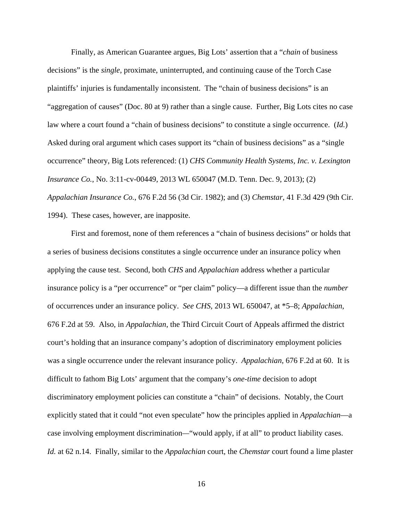Finally, as American Guarantee argues, Big Lots' assertion that a "*chain* of business decisions" is the *single*, proximate, uninterrupted, and continuing cause of the Torch Case plaintiffs' injuries is fundamentally inconsistent. The "chain of business decisions" is an "aggregation of causes" (Doc. 80 at 9) rather than a single cause. Further, Big Lots cites no case law where a court found a "chain of business decisions" to constitute a single occurrence. (*Id.*) Asked during oral argument which cases support its "chain of business decisions" as a "single occurrence" theory, Big Lots referenced: (1) *CHS Community Health Systems, Inc. v. Lexington Insurance Co.*, No. 3:11-cv-00449, 2013 WL 650047 (M.D. Tenn. Dec. 9, 2013); (2) *Appalachian Insurance Co.*, 676 F.2d 56 (3d Cir. 1982); and (3) *Chemstar*, 41 F.3d 429 (9th Cir. 1994). These cases, however, are inapposite.

First and foremost, none of them references a "chain of business decisions" or holds that a series of business decisions constitutes a single occurrence under an insurance policy when applying the cause test. Second, both *CHS* and *Appalachian* address whether a particular insurance policy is a "per occurrence" or "per claim" policy—a different issue than the *number*  of occurrences under an insurance policy. *See CHS*, 2013 WL 650047, at \*5–8; *Appalachian*, 676 F.2d at 59. Also, in *Appalachian*, the Third Circuit Court of Appeals affirmed the district court's holding that an insurance company's adoption of discriminatory employment policies was a single occurrence under the relevant insurance policy. *Appalachian*, 676 F.2d at 60. It is difficult to fathom Big Lots' argument that the company's *one-time* decision to adopt discriminatory employment policies can constitute a "chain" of decisions. Notably, the Court explicitly stated that it could "not even speculate" how the principles applied in *Appalachian*—a case involving employment discrimination*—*"would apply, if at all" to product liability cases. *Id.* at 62 n.14. Finally, similar to the *Appalachian* court, the *Chemstar* court found a lime plaster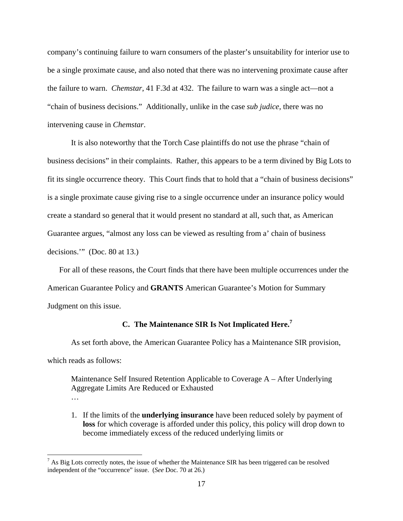company's continuing failure to warn consumers of the plaster's unsuitability for interior use to be a single proximate cause, and also noted that there was no intervening proximate cause after the failure to warn. *Chemstar*, 41 F.3d at 432. The failure to warn was a single act—not a "chain of business decisions." Additionally, unlike in the case *sub judice*, there was no intervening cause in *Chemstar*.

It is also noteworthy that the Torch Case plaintiffs do not use the phrase "chain of business decisions" in their complaints. Rather, this appears to be a term divined by Big Lots to fit its single occurrence theory. This Court finds that to hold that a "chain of business decisions" is a single proximate cause giving rise to a single occurrence under an insurance policy would create a standard so general that it would present no standard at all, such that, as American Guarantee argues, "almost any loss can be viewed as resulting from a' chain of business decisions."" (Doc. 80 at 13.)

For all of these reasons, the Court finds that there have been multiple occurrences under the American Guarantee Policy and **GRANTS** American Guarantee's Motion for Summary Judgment on this issue.

## **C. The Maintenance SIR Is Not Implicated Here.<sup>7</sup>**

As set forth above, the American Guarantee Policy has a Maintenance SIR provision, which reads as follows:

Maintenance Self Insured Retention Applicable to Coverage A – After Underlying Aggregate Limits Are Reduced or Exhausted …

1. If the limits of the **underlying insurance** have been reduced solely by payment of **loss** for which coverage is afforded under this policy, this policy will drop down to become immediately excess of the reduced underlying limits or

<sup>&</sup>lt;sup>7</sup> As Big Lots correctly notes, the issue of whether the Maintenance SIR has been triggered can be resolved independent of the "occurrence" issue. (*See* Doc. 70 at 26.)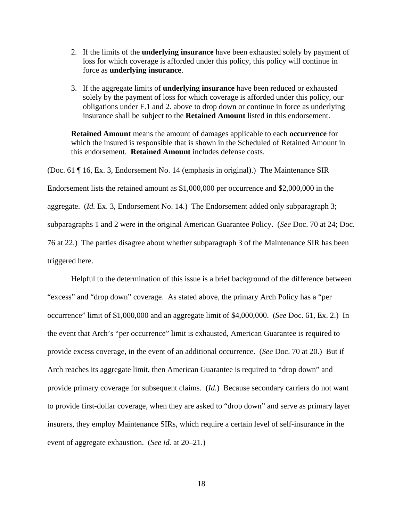- 2. If the limits of the **underlying insurance** have been exhausted solely by payment of loss for which coverage is afforded under this policy, this policy will continue in force as **underlying insurance**.
- 3. If the aggregate limits of **underlying insurance** have been reduced or exhausted solely by the payment of loss for which coverage is afforded under this policy, our obligations under F.1 and 2. above to drop down or continue in force as underlying insurance shall be subject to the **Retained Amount** listed in this endorsement.

**Retained Amount** means the amount of damages applicable to each **occurrence** for which the insured is responsible that is shown in the Scheduled of Retained Amount in this endorsement. **Retained Amount** includes defense costs.

(Doc. 61 ¶ 16, Ex. 3, Endorsement No. 14 (emphasis in original).) The Maintenance SIR Endorsement lists the retained amount as \$1,000,000 per occurrence and \$2,000,000 in the aggregate. (*Id.* Ex. 3, Endorsement No. 14.) The Endorsement added only subparagraph 3; subparagraphs 1 and 2 were in the original American Guarantee Policy. (*See* Doc. 70 at 24; Doc. 76 at 22.) The parties disagree about whether subparagraph 3 of the Maintenance SIR has been triggered here.

 Helpful to the determination of this issue is a brief background of the difference between "excess" and "drop down" coverage. As stated above, the primary Arch Policy has a "per occurrence" limit of \$1,000,000 and an aggregate limit of \$4,000,000. (*See* Doc. 61, Ex. 2.) In the event that Arch's "per occurrence" limit is exhausted, American Guarantee is required to provide excess coverage, in the event of an additional occurrence. (*See* Doc. 70 at 20.) But if Arch reaches its aggregate limit, then American Guarantee is required to "drop down" and provide primary coverage for subsequent claims. (*Id.*) Because secondary carriers do not want to provide first-dollar coverage, when they are asked to "drop down" and serve as primary layer insurers, they employ Maintenance SIRs, which require a certain level of self-insurance in the event of aggregate exhaustion. (*See id.* at 20–21.)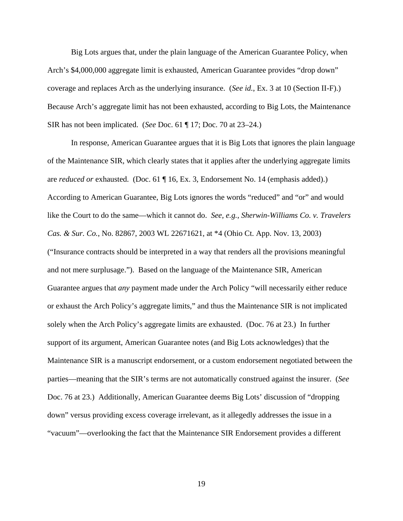Big Lots argues that, under the plain language of the American Guarantee Policy, when Arch's \$4,000,000 aggregate limit is exhausted, American Guarantee provides "drop down" coverage and replaces Arch as the underlying insurance. (*See id.*, Ex. 3 at 10 (Section II-F).) Because Arch's aggregate limit has not been exhausted, according to Big Lots, the Maintenance SIR has not been implicated. (*See* Doc. 61 ¶ 17; Doc. 70 at 23–24.)

 In response, American Guarantee argues that it is Big Lots that ignores the plain language of the Maintenance SIR, which clearly states that it applies after the underlying aggregate limits are *reduced or* exhausted. (Doc. 61 ¶ 16, Ex. 3, Endorsement No. 14 (emphasis added).) According to American Guarantee, Big Lots ignores the words "reduced" and "or" and would like the Court to do the same—which it cannot do. *See, e.g.*, *Sherwin-Williams Co. v. Travelers Cas. & Sur. Co.*, No. 82867, 2003 WL 22671621, at \*4 (Ohio Ct. App. Nov. 13, 2003) ("Insurance contracts should be interpreted in a way that renders all the provisions meaningful and not mere surplusage."). Based on the language of the Maintenance SIR, American Guarantee argues that *any* payment made under the Arch Policy "will necessarily either reduce or exhaust the Arch Policy's aggregate limits," and thus the Maintenance SIR is not implicated solely when the Arch Policy's aggregate limits are exhausted. (Doc. 76 at 23.) In further support of its argument, American Guarantee notes (and Big Lots acknowledges) that the Maintenance SIR is a manuscript endorsement, or a custom endorsement negotiated between the parties—meaning that the SIR's terms are not automatically construed against the insurer. (*See*  Doc. 76 at 23.) Additionally, American Guarantee deems Big Lots' discussion of "dropping down" versus providing excess coverage irrelevant, as it allegedly addresses the issue in a "vacuum"—overlooking the fact that the Maintenance SIR Endorsement provides a different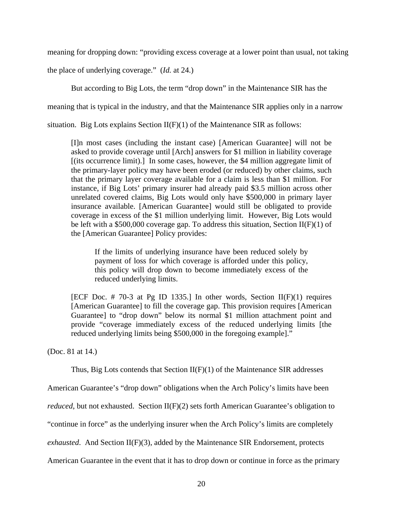meaning for dropping down: "providing excess coverage at a lower point than usual, not taking

the place of underlying coverage." (*Id.* at 24.)

But according to Big Lots, the term "drop down" in the Maintenance SIR has the

meaning that is typical in the industry, and that the Maintenance SIR applies only in a narrow

situation. Big Lots explains Section  $II(F)(1)$  of the Maintenance SIR as follows:

[I]n most cases (including the instant case) [American Guarantee] will not be asked to provide coverage until [Arch] answers for \$1 million in liability coverage [(its occurrence limit).] In some cases, however, the \$4 million aggregate limit of the primary-layer policy may have been eroded (or reduced) by other claims, such that the primary layer coverage available for a claim is less than \$1 million. For instance, if Big Lots' primary insurer had already paid \$3.5 million across other unrelated covered claims, Big Lots would only have \$500,000 in primary layer insurance available. [American Guarantee] would still be obligated to provide coverage in excess of the \$1 million underlying limit. However, Big Lots would be left with a \$500,000 coverage gap. To address this situation, Section  $II(F)(1)$  of the [American Guarantee] Policy provides:

If the limits of underlying insurance have been reduced solely by payment of loss for which coverage is afforded under this policy, this policy will drop down to become immediately excess of the reduced underlying limits.

[ECF Doc.  $# 70-3$  at Pg ID 1335.] In other words, Section II(F)(1) requires [American Guarantee] to fill the coverage gap. This provision requires [American Guarantee] to "drop down" below its normal \$1 million attachment point and provide "coverage immediately excess of the reduced underlying limits [the reduced underlying limits being \$500,000 in the foregoing example]."

(Doc. 81 at 14.)

Thus, Big Lots contends that Section  $II(F)(1)$  of the Maintenance SIR addresses

American Guarantee's "drop down" obligations when the Arch Policy's limits have been

*reduced*, but not exhausted. Section  $II(F)(2)$  sets forth American Guarantee's obligation to

"continue in force" as the underlying insurer when the Arch Policy's limits are completely

*exhausted*. And Section II(F)(3), added by the Maintenance SIR Endorsement, protects

American Guarantee in the event that it has to drop down or continue in force as the primary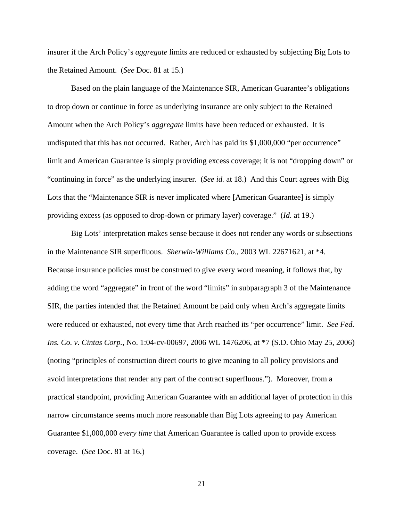insurer if the Arch Policy's *aggregate* limits are reduced or exhausted by subjecting Big Lots to the Retained Amount. (*See* Doc. 81 at 15.)

Based on the plain language of the Maintenance SIR, American Guarantee's obligations to drop down or continue in force as underlying insurance are only subject to the Retained Amount when the Arch Policy's *aggregate* limits have been reduced or exhausted. It is undisputed that this has not occurred. Rather, Arch has paid its \$1,000,000 "per occurrence" limit and American Guarantee is simply providing excess coverage; it is not "dropping down" or "continuing in force" as the underlying insurer. (*See id.* at 18.) And this Court agrees with Big Lots that the "Maintenance SIR is never implicated where [American Guarantee] is simply providing excess (as opposed to drop-down or primary layer) coverage." (*Id.* at 19.)

Big Lots' interpretation makes sense because it does not render any words or subsections in the Maintenance SIR superfluous. *Sherwin-Williams Co.*, 2003 WL 22671621, at \*4. Because insurance policies must be construed to give every word meaning, it follows that, by adding the word "aggregate" in front of the word "limits" in subparagraph 3 of the Maintenance SIR, the parties intended that the Retained Amount be paid only when Arch's aggregate limits were reduced or exhausted, not every time that Arch reached its "per occurrence" limit. *See Fed. Ins. Co. v. Cintas Corp.*, No. 1:04-cv-00697, 2006 WL 1476206, at \*7 (S.D. Ohio May 25, 2006) (noting "principles of construction direct courts to give meaning to all policy provisions and avoid interpretations that render any part of the contract superfluous."). Moreover, from a practical standpoint, providing American Guarantee with an additional layer of protection in this narrow circumstance seems much more reasonable than Big Lots agreeing to pay American Guarantee \$1,000,000 *every time* that American Guarantee is called upon to provide excess coverage. (*See* Doc. 81 at 16.)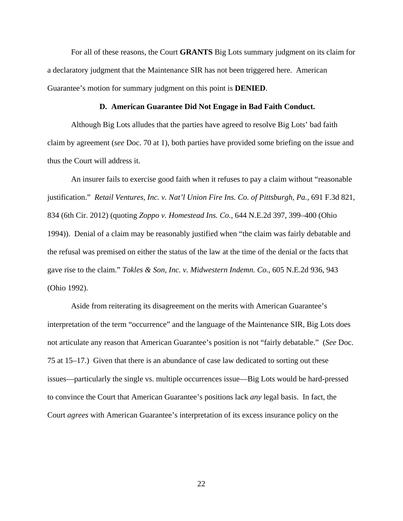For all of these reasons, the Court **GRANTS** Big Lots summary judgment on its claim for a declaratory judgment that the Maintenance SIR has not been triggered here. American Guarantee's motion for summary judgment on this point is **DENIED**.

### **D. American Guarantee Did Not Engage in Bad Faith Conduct.**

Although Big Lots alludes that the parties have agreed to resolve Big Lots' bad faith claim by agreement (*see* Doc. 70 at 1), both parties have provided some briefing on the issue and thus the Court will address it.

An insurer fails to exercise good faith when it refuses to pay a claim without "reasonable justification." *Retail Ventures, Inc. v. Nat'l Union Fire Ins. Co. of Pittsburgh, Pa.*, 691 F.3d 821, 834 (6th Cir. 2012) (quoting *Zoppo v. Homestead Ins. Co.,* 644 N.E.2d 397, 399–400 (Ohio 1994)). Denial of a claim may be reasonably justified when "the claim was fairly debatable and the refusal was premised on either the status of the law at the time of the denial or the facts that gave rise to the claim." *Tokles & Son, Inc. v. Midwestern Indemn. Co.*, 605 N.E.2d 936, 943 (Ohio 1992).

 Aside from reiterating its disagreement on the merits with American Guarantee's interpretation of the term "occurrence" and the language of the Maintenance SIR, Big Lots does not articulate any reason that American Guarantee's position is not "fairly debatable." (*See* Doc. 75 at 15–17.) Given that there is an abundance of case law dedicated to sorting out these issues—particularly the single vs. multiple occurrences issue—Big Lots would be hard-pressed to convince the Court that American Guarantee's positions lack *any* legal basis. In fact, the Court *agrees* with American Guarantee's interpretation of its excess insurance policy on the